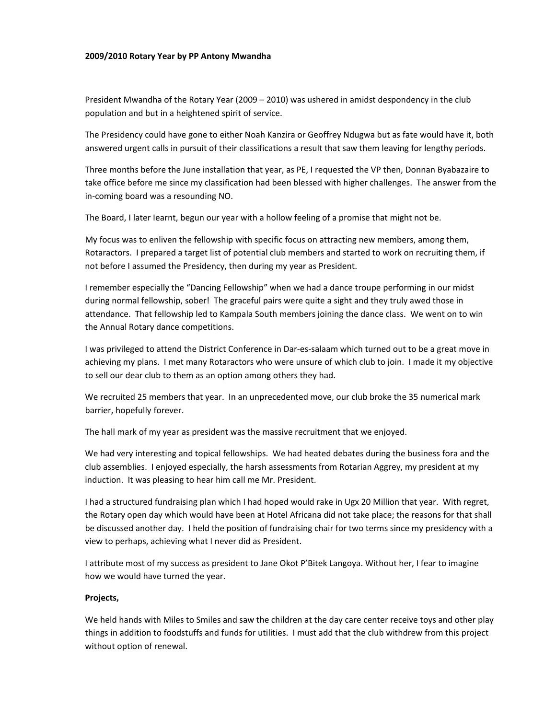## **2009/2010 Rotary Year by PP Antony Mwandha**

President Mwandha of the Rotary Year (2009 – 2010) was ushered in amidst despondency in the club population and but in a heightened spirit of service.

The Presidency could have gone to either Noah Kanzira or Geoffrey Ndugwa but as fate would have it, both answered urgent calls in pursuit of their classifications a result that saw them leaving for lengthy periods.

Three months before the June installation that year, as PE, I requested the VP then, Donnan Byabazaire to take office before me since my classification had been blessed with higher challenges. The answer from the in‐coming board was a resounding NO.

The Board, I later Iearnt, begun our year with a hollow feeling of a promise that might not be.

My focus was to enliven the fellowship with specific focus on attracting new members, among them, Rotaractors. I prepared a target list of potential club members and started to work on recruiting them, if not before I assumed the Presidency, then during my year as President.

I remember especially the "Dancing Fellowship" when we had a dance troupe performing in our midst during normal fellowship, sober! The graceful pairs were quite a sight and they truly awed those in attendance. That fellowship led to Kampala South members joining the dance class. We went on to win the Annual Rotary dance competitions.

I was privileged to attend the District Conference in Dar‐es‐salaam which turned out to be a great move in achieving my plans. I met many Rotaractors who were unsure of which club to join. I made it my objective to sell our dear club to them as an option among others they had.

We recruited 25 members that year. In an unprecedented move, our club broke the 35 numerical mark barrier, hopefully forever.

The hall mark of my year as president was the massive recruitment that we enjoyed.

We had very interesting and topical fellowships. We had heated debates during the business fora and the club assemblies. I enjoyed especially, the harsh assessments from Rotarian Aggrey, my president at my induction. It was pleasing to hear him call me Mr. President.

I had a structured fundraising plan which I had hoped would rake in Ugx 20 Million that year. With regret, the Rotary open day which would have been at Hotel Africana did not take place; the reasons for that shall be discussed another day. I held the position of fundraising chair for two terms since my presidency with a view to perhaps, achieving what I never did as President.

I attribute most of my success as president to Jane Okot P'Bitek Langoya. Without her, I fear to imagine how we would have turned the year.

## **Projects,**

We held hands with Miles to Smiles and saw the children at the day care center receive toys and other play things in addition to foodstuffs and funds for utilities. I must add that the club withdrew from this project without option of renewal.